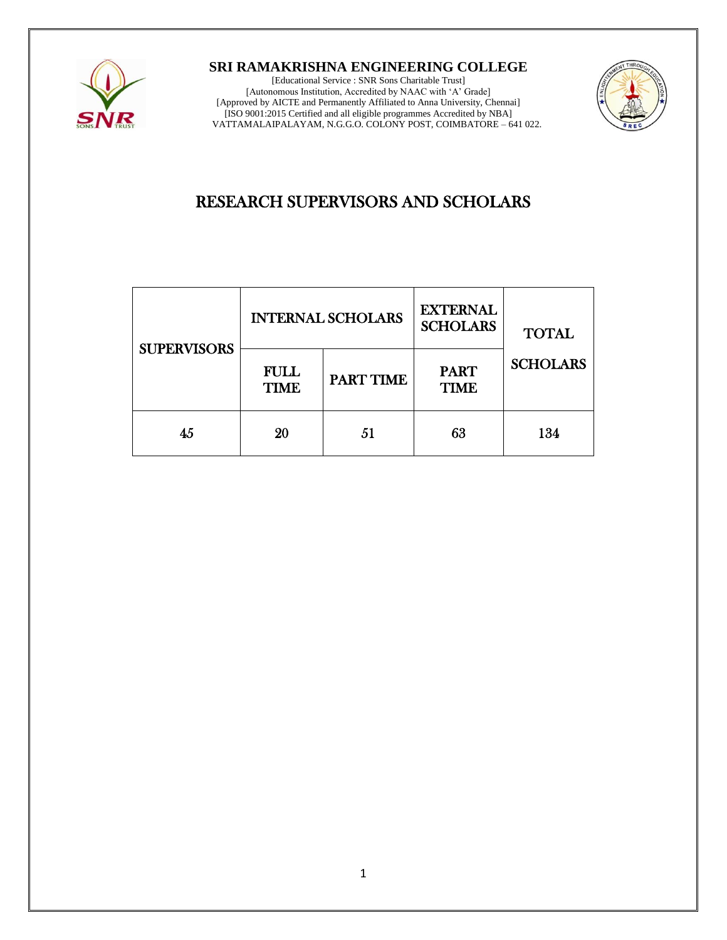

**SRI RAMAKRISHNA ENGINEERING COLLEGE**

[Educational Service : SNR Sons Charitable Trust] [Autonomous Institution, Accredited by NAAC with 'A' Grade] [Approved by AICTE and Permanently Affiliated to Anna University, Chennai] [ISO 9001:2015 Certified and all eligible programmes Accredited by NBA] VATTAMALAIPALAYAM, N.G.G.O. COLONY POST, COIMBATORE – 641 022.



## RESEARCH SUPERVISORS AND SCHOLARS

| <b>SUPERVISORS</b> | <b>INTERNAL SCHOLARS</b> |           | <b>EXTERNAL</b><br><b>SCHOLARS</b> | <b>TOTAL</b>    |
|--------------------|--------------------------|-----------|------------------------------------|-----------------|
|                    | FULL<br><b>TIME</b>      | PART TIME | <b>PART</b><br><b>TIME</b>         | <b>SCHOLARS</b> |
| 45                 | 20                       | 51        | 63                                 | 134             |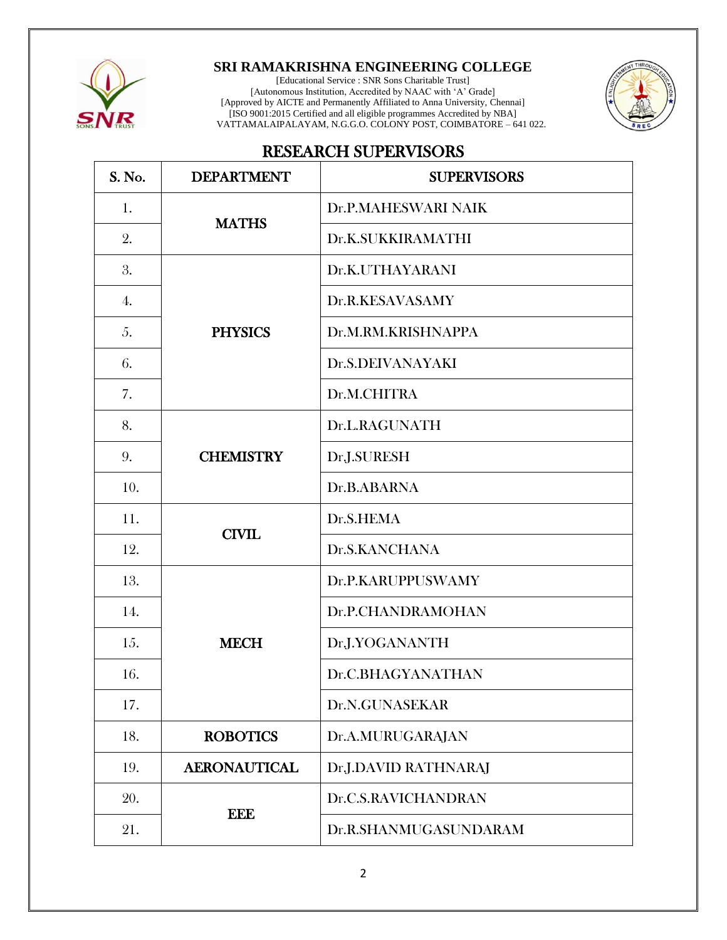

## **SRI RAMAKRISHNA ENGINEERING COLLEGE**

[Educational Service : SNR Sons Charitable Trust] [Autonomous Institution, Accredited by NAAC with 'A' Grade] [Approved by AICTE and Permanently Affiliated to Anna University, Chennai] [ISO 9001:2015 Certified and all eligible programmes Accredited by NBA] VATTAMALAIPALAYAM, N.G.G.O. COLONY POST, COIMBATORE – 641 022.



## RESEARCH SUPERVISORS

| S. No. | <b>DEPARTMENT</b>   | <b>SUPERVISORS</b>    |  |
|--------|---------------------|-----------------------|--|
| 1.     |                     | Dr.P.MAHESWARI NAIK   |  |
| 2.     | <b>MATHS</b>        | Dr.K.SUKKIRAMATHI     |  |
| 3.     |                     | Dr.K.UTHAYARANI       |  |
| 4.     |                     | Dr.R.KESAVASAMY       |  |
| 5.     | <b>PHYSICS</b>      | Dr.M.RM.KRISHNAPPA    |  |
| 6.     |                     | Dr.S.DEIVANAYAKI      |  |
| 7.     |                     | Dr.M.CHITRA           |  |
| 8.     |                     | Dr.L.RAGUNATH         |  |
| 9.     | <b>CHEMISTRY</b>    | Dr.J.SURESH           |  |
| 10.    |                     | Dr.B.ABARNA           |  |
| 11.    |                     | Dr.S.HEMA             |  |
| 12.    | <b>CIVIL</b>        | Dr.S.KANCHANA         |  |
| 13.    |                     | Dr.P.KARUPPUSWAMY     |  |
| 14.    | <b>MECH</b>         | Dr.P.CHANDRAMOHAN     |  |
| 15.    |                     | Dr.J.YOGANANTH        |  |
| 16.    |                     | Dr.C.BHAGYANATHAN     |  |
| 17.    |                     | Dr.N.GUNASEKAR        |  |
| 18.    | <b>ROBOTICS</b>     | Dr.A.MURUGARAJAN      |  |
| 19.    | <b>AERONAUTICAL</b> | Dr.J.DAVID RATHNARAJ  |  |
| 20.    |                     | Dr.C.S.RAVICHANDRAN   |  |
| 21.    | <b>EEE</b>          | Dr.R.SHANMUGASUNDARAM |  |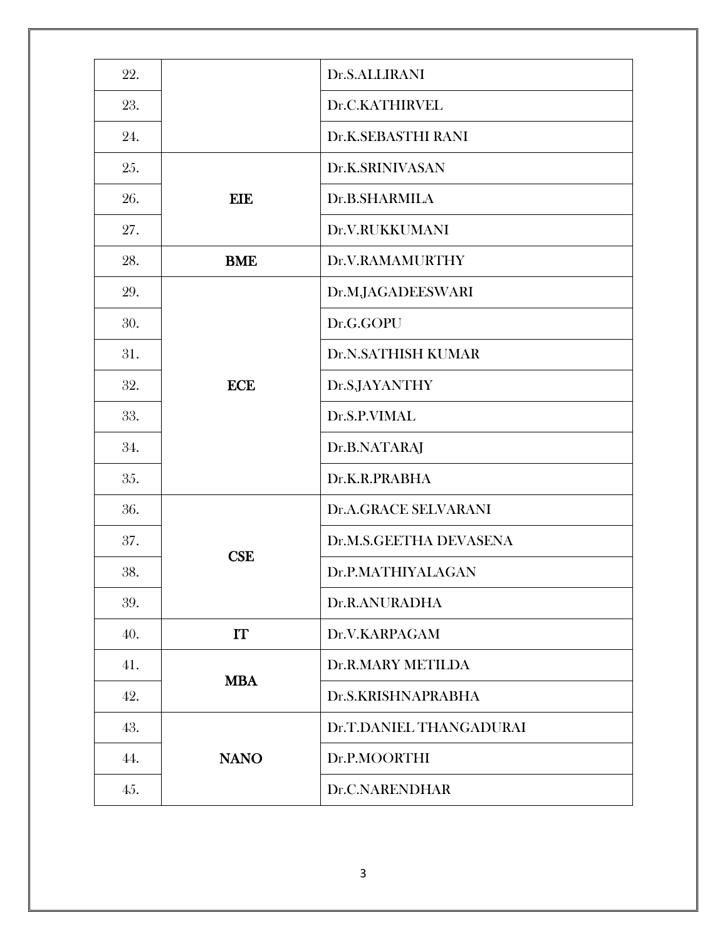| 22. |             | Dr.S.ALLIRANI           |  |
|-----|-------------|-------------------------|--|
| 23. |             | Dr.C.KATHIRVEL          |  |
| 24. |             | Dr.K.SEBASTHI RANI      |  |
| 25. |             | Dr.K.SRINIVASAN         |  |
| 26. | <b>EIE</b>  | Dr.B.SHARMILA           |  |
| 27. |             | Dr.V.RUKKUMANI          |  |
| 28. | <b>BME</b>  | Dr.V.RAMAMURTHY         |  |
| 29. |             | Dr.M.JAGADEESWARI       |  |
| 30. |             | Dr.G.GOPU               |  |
| 31. | <b>ECE</b>  | Dr.N.SATHISH KUMAR      |  |
| 32. |             | Dr.S.JAYANTHY           |  |
| 33. |             | Dr.S.P.VIMAL            |  |
| 34. |             | Dr.B.NATARAJ            |  |
| 35. |             | Dr.K.R.PRABHA           |  |
| 36. |             | Dr.A.GRACE SELVARANI    |  |
| 37. |             | Dr.M.S.GEETHA DEVASENA  |  |
| 38. | <b>CSE</b>  | Dr.P.MATHIYALAGAN       |  |
| 39. |             | Dr.R.ANURADHA           |  |
| 40. | IT          | Dr.V.KARPAGAM           |  |
| 41. | <b>MBA</b>  | Dr.R.MARY METILDA       |  |
| 42. |             | Dr.S.KRISHNAPRABHA      |  |
| 43. |             | Dr.T.DANIEL THANGADURAI |  |
| 44. | <b>NANO</b> | Dr.P.MOORTHI            |  |
| 45. |             | Dr.C.NARENDHAR          |  |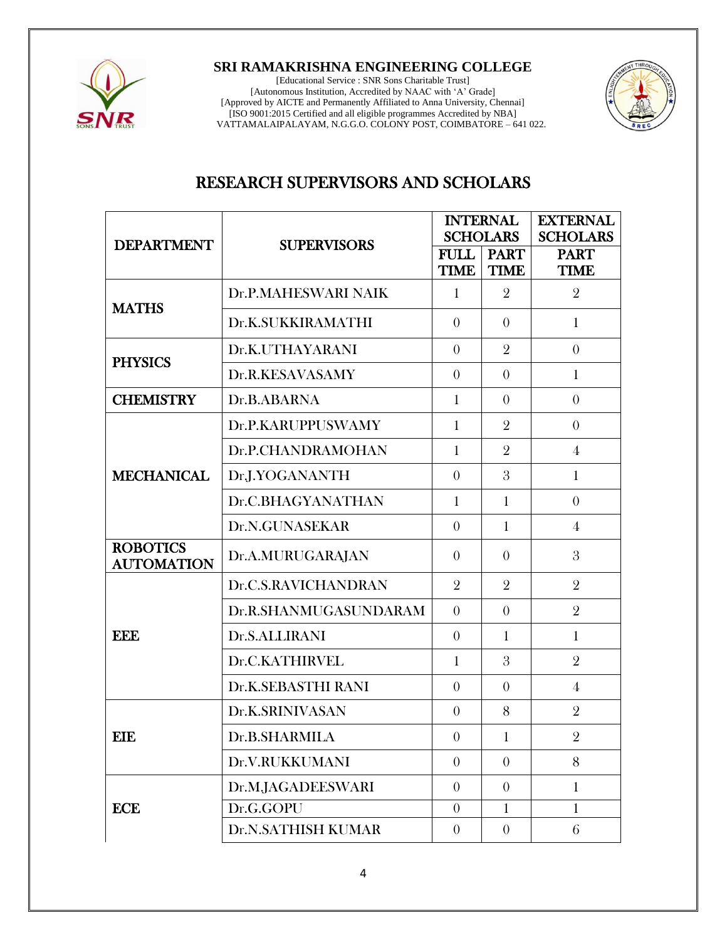

**SRI RAMAKRISHNA ENGINEERING COLLEGE**

[Educational Service : SNR Sons Charitable Trust] [Autonomous Institution, Accredited by NAAC with 'A' Grade] [Approved by AICTE and Permanently Affiliated to Anna University, Chennai] [ISO 9001:2015 Certified and all eligible programmes Accredited by NBA] VATTAMALAIPALAYAM, N.G.G.O. COLONY POST, COIMBATORE – 641 022.



## RESEARCH SUPERVISORS AND SCHOLARS

|                                      |                       | <b>INTERNAL</b><br><b>SCHOLARS</b> |                            | <b>EXTERNAL</b><br><b>SCHOLARS</b> |
|--------------------------------------|-----------------------|------------------------------------|----------------------------|------------------------------------|
| <b>DEPARTMENT</b>                    | <b>SUPERVISORS</b>    | <b>FULL</b><br><b>TIME</b>         | <b>PART</b><br><b>TIME</b> | <b>PART</b><br><b>TIME</b>         |
| <b>MATHS</b>                         | Dr.P.MAHESWARI NAIK   | 1                                  | $\overline{2}$             | $\overline{2}$                     |
|                                      | Dr.K.SUKKIRAMATHI     | $\theta$                           | $\theta$                   | $\mathbf{1}$                       |
| <b>PHYSICS</b>                       | Dr.K.UTHAYARANI       | $\theta$                           | $\overline{2}$             | $\overline{0}$                     |
|                                      | Dr.R.KESAVASAMY       | $\theta$                           | $\theta$                   | $\mathbf{1}$                       |
| <b>CHEMISTRY</b>                     | Dr.B.ABARNA           | $\mathbf{1}$                       | $\theta$                   | $\overline{0}$                     |
|                                      | Dr.P.KARUPPUSWAMY     | $\mathbf{1}$                       | $\overline{2}$             | $\overline{0}$                     |
|                                      | Dr.P.CHANDRAMOHAN     | $\mathbf{1}$                       | $\overline{2}$             | $\overline{4}$                     |
| <b>MECHANICAL</b>                    | Dr.J.YOGANANTH        | $\theta$                           | 3                          | $\mathbf{1}$                       |
|                                      | Dr.C.BHAGYANATHAN     | $\mathbf{1}$                       | $\mathbf{1}$               | $\overline{0}$                     |
|                                      | Dr.N.GUNASEKAR        | $\theta$                           | $\mathbf{1}$               | $\overline{4}$                     |
| <b>ROBOTICS</b><br><b>AUTOMATION</b> | Dr.A.MURUGARAJAN      | $\theta$                           | $\theta$                   | 3                                  |
| <b>EEE</b>                           | Dr.C.S.RAVICHANDRAN   | $\overline{2}$                     | $\overline{2}$             | $\overline{2}$                     |
|                                      | Dr.R.SHANMUGASUNDARAM | $\theta$                           | $\theta$                   | $\overline{2}$                     |
|                                      | Dr.S.ALLIRANI         | $\theta$                           | $\mathbf{1}$               | $\mathbf{1}$                       |
|                                      | Dr.C.KATHIRVEL        | $\mathbf{1}$                       | 3                          | $\overline{2}$                     |
|                                      | Dr.K.SEBASTHI RANI    | $\theta$                           | $\theta$                   | 4                                  |
| <b>EIE</b>                           | Dr.K.SRINIVASAN       | $\theta$                           | 8                          | $\overline{2}$                     |
|                                      | Dr.B.SHARMILA         | $\theta$                           | $\mathbf{1}$               | $\overline{2}$                     |
|                                      | Dr.V.RUKKUMANI        | $\theta$                           | $\theta$                   | 8                                  |
| <b>ECE</b>                           | Dr.M.JAGADEESWARI     | $\overline{0}$                     | $\theta$                   | $\mathbf{1}$                       |
|                                      | Dr.G.GOPU             | $\theta$                           | $\mathbf{1}$               | $\mathbf{1}$                       |
|                                      | Dr.N.SATHISH KUMAR    | $\overline{0}$                     | $\overline{0}$             | 6                                  |